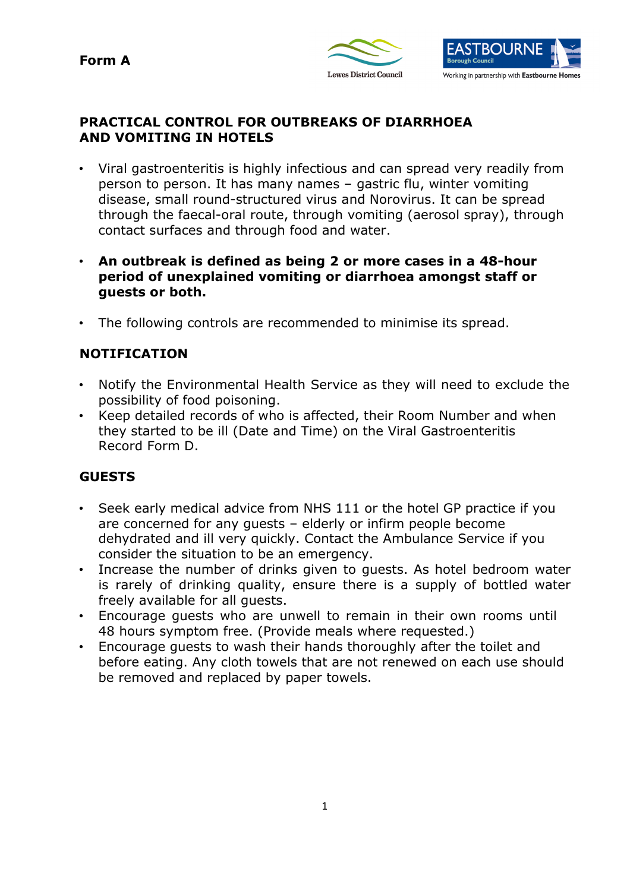**Form A** 





### **PRACTICAL CONTROL FOR OUTBREAKS OF DIARRHOEA AND VOMITING IN HOTELS**

- • Viral gastroenteritis is highly infectious and can spread very readily from person to person. It has many names – gastric flu, winter vomiting disease, small round-structured virus and Norovirus. It can be spread through the faecal-oral route, through vomiting (aerosol spray), through contact surfaces and through food and water.
- **An outbreak is defined as being 2 or more cases in a 48-hour period of unexplained vomiting or diarrhoea amongst staff or guests or both.**
- The following controls are recommended to minimise its spread.

# **NOTIFICATION**

- • Notify the Environmental Health Service as they will need to exclude the possibility of food poisoning.
- • Keep detailed records of who is affected, their Room Number and when they started to be ill (Date and Time) on the Viral Gastroenteritis Record Form D.

### **GUESTS**

- • Seek early medical advice from NHS 111 or the hotel GP practice if you are concerned for any guests – elderly or infirm people become dehydrated and ill very quickly. Contact the Ambulance Service if you consider the situation to be an emergency.
- • Increase the number of drinks given to guests. As hotel bedroom water is rarely of drinking quality, ensure there is a supply of bottled water freely available for all guests.
- • Encourage guests who are unwell to remain in their own rooms until 48 hours symptom free. (Provide meals where requested.)
- • Encourage guests to wash their hands thoroughly after the toilet and before eating. Any cloth towels that are not renewed on each use should be removed and replaced by paper towels.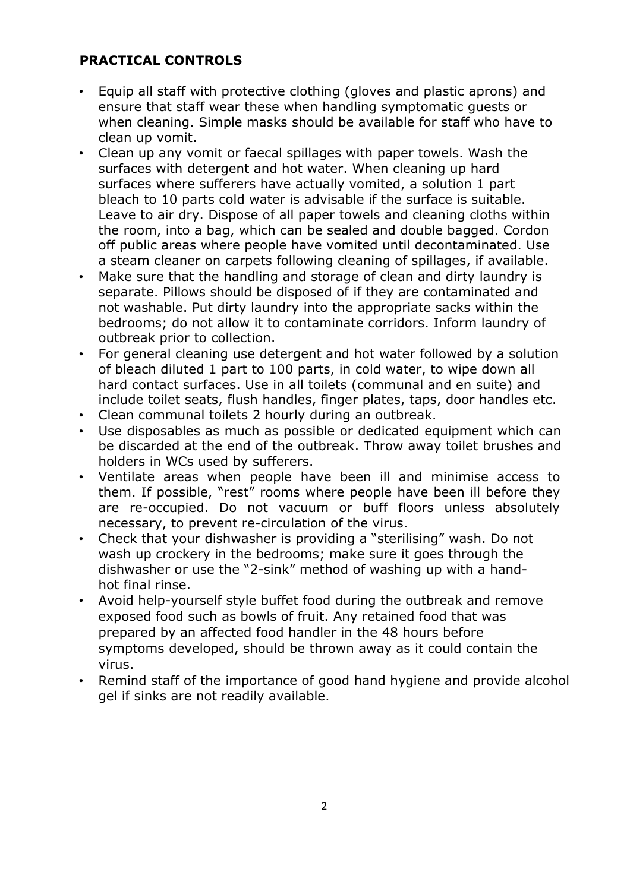# **PRACTICAL CONTROLS**

- • Equip all staff with protective clothing (gloves and plastic aprons) and ensure that staff wear these when handling symptomatic guests or when cleaning. Simple masks should be available for staff who have to clean up vomit.
- • Clean up any vomit or faecal spillages with paper towels. Wash the surfaces with detergent and hot water. When cleaning up hard bleach to 10 parts cold water is advisable if the surface is suitable. Leave to air dry. Dispose of all paper towels and cleaning cloths within the room, into a bag, which can be sealed and double bagged. Cordon off public areas where people have vomited until decontaminated. Use a steam cleaner on carpets following cleaning of spillages, if available. surfaces where sufferers have actually vomited, a solution 1 part
- • Make sure that the handling and storage of clean and dirty laundry is separate. Pillows should be disposed of if they are contaminated and not washable. Put dirty laundry into the appropriate sacks within the bedrooms; do not allow it to contaminate corridors. Inform laundry of outbreak prior to collection.
- • For general cleaning use detergent and hot water followed by a solution of bleach diluted 1 part to 100 parts, in cold water, to wipe down all hard contact surfaces. Use in all toilets (communal and en suite) and include toilet seats, flush handles, finger plates, taps, door handles etc.
- Clean communal toilets 2 hourly during an outbreak.
- • Use disposables as much as possible or dedicated equipment which can be discarded at the end of the outbreak. Throw away toilet brushes and holders in WCs used by sufferers.
- • Ventilate areas when people have been ill and minimise access to them. If possible, "rest" rooms where people have been ill before they are re-occupied. Do not vacuum or buff floors unless absolutely necessary, to prevent re-circulation of the virus.
- • Check that your dishwasher is providing a "sterilising" wash. Do not wash up crockery in the bedrooms; make sure it goes through the dishwasher or use the "2-sink" method of washing up with a hand-hot final rinse.
- • Avoid help-yourself style buffet food during the outbreak and remove exposed food such as bowls of fruit. Any retained food that was prepared by an affected food handler in the 48 hours before symptoms developed, should be thrown away as it could contain the virus.
- • Remind staff of the importance of good hand hygiene and provide alcohol gel if sinks are not readily available.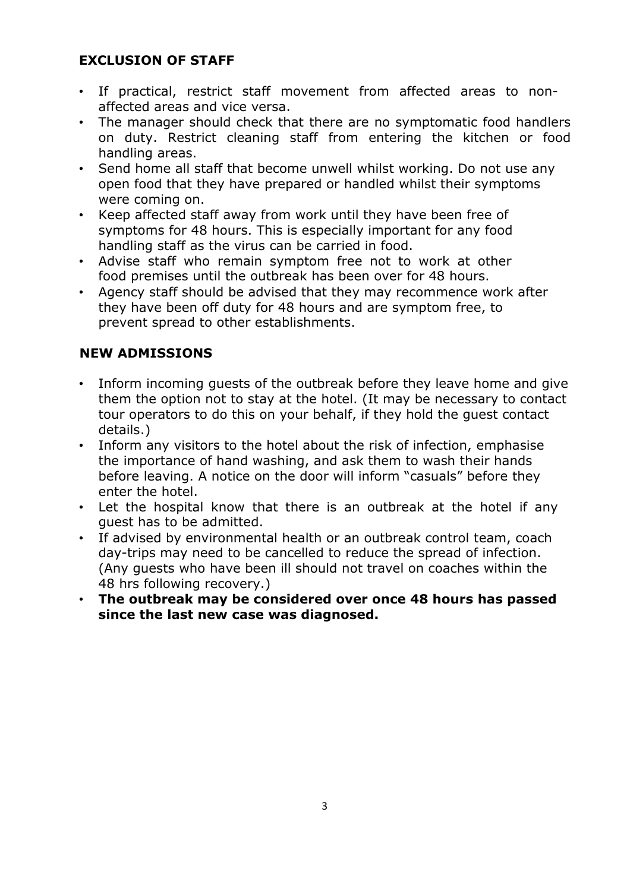### **EXCLUSION OF STAFF**

- • If practical, restrict staff movement from affected areas to non-affected areas and vice versa.
- • The manager should check that there are no symptomatic food handlers on duty. Restrict cleaning staff from entering the kitchen or food handling areas.
- • Send home all staff that become unwell whilst working. Do not use any open food that they have prepared or handled whilst their symptoms were coming on.
- • Keep affected staff away from work until they have been free of symptoms for 48 hours. This is especially important for any food handling staff as the virus can be carried in food.
- • Advise staff who remain symptom free not to work at other food premises until the outbreak has been over for 48 hours.
- • Agency staff should be advised that they may recommence work after they have been off duty for 48 hours and are symptom free, to prevent spread to other establishments.

# **NEW ADMISSIONS**

- • Inform incoming guests of the outbreak before they leave home and give them the option not to stay at the hotel. (It may be necessary to contact tour operators to do this on your behalf, if they hold the guest contact details.)
- • Inform any visitors to the hotel about the risk of infection, emphasise the importance of hand washing, and ask them to wash their hands before leaving. A notice on the door will inform "casuals" before they enter the hotel.
- • Let the hospital know that there is an outbreak at the hotel if any guest has to be admitted.
- • If advised by environmental health or an outbreak control team, coach day-trips may need to be cancelled to reduce the spread of infection. (Any guests who have been ill should not travel on coaches within the 48 hrs following recovery.)
- **The outbreak may be considered over once 48 hours has passed since the last new case was diagnosed.**